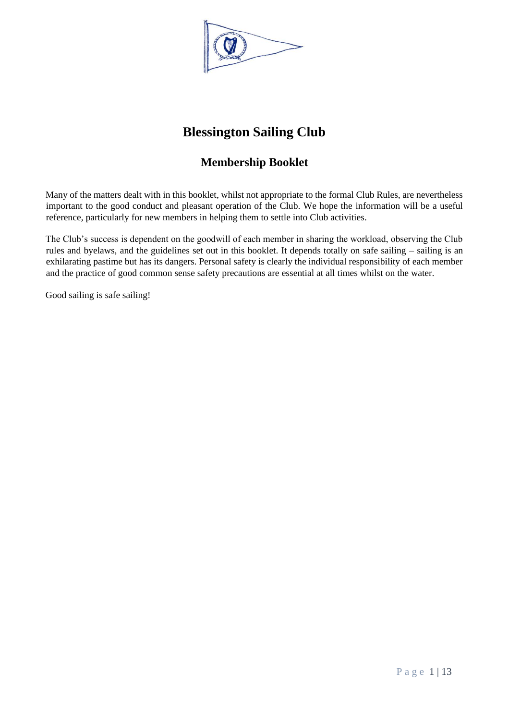

# **Blessington Sailing Club**

## **Membership Booklet**

<span id="page-0-0"></span>Many of the matters dealt with in this booklet, whilst not appropriate to the formal Club Rules, are nevertheless important to the good conduct and pleasant operation of the Club. We hope the information will be a useful reference, particularly for new members in helping them to settle into Club activities.

The Club's success is dependent on the goodwill of each member in sharing the workload, observing the Club rules and byelaws, and the guidelines set out in this booklet. It depends totally on safe sailing – sailing is an exhilarating pastime but has its dangers. Personal safety is clearly the individual responsibility of each member and the practice of good common sense safety precautions are essential at all times whilst on the water.

Good sailing is safe sailing!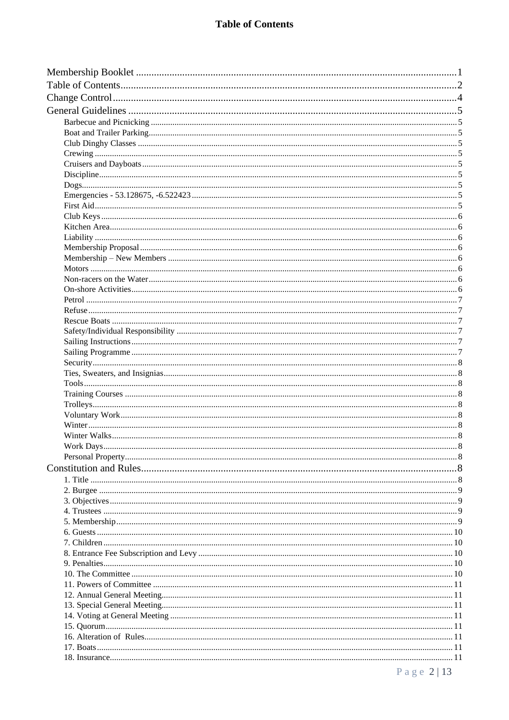## **Table of Contents**

<span id="page-1-0"></span>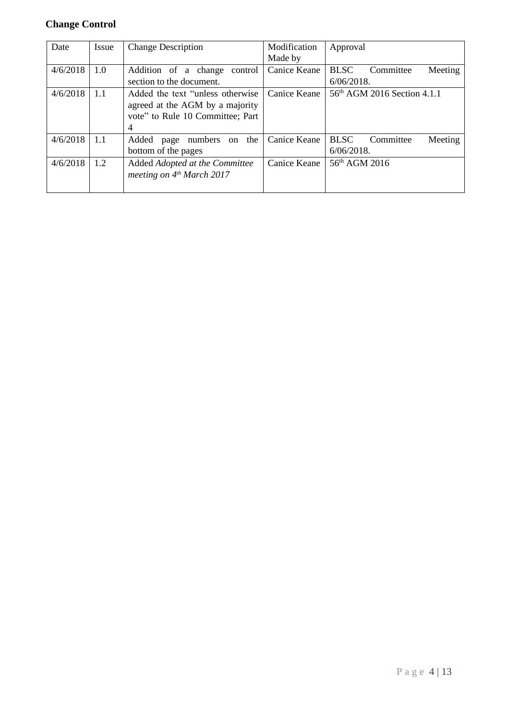## <span id="page-3-0"></span>**Change Control**

| Date     | Issue | <b>Change Description</b>                                                                                     | Modification<br>Made by | Approval                                             |
|----------|-------|---------------------------------------------------------------------------------------------------------------|-------------------------|------------------------------------------------------|
| 4/6/2018 | 1.0   | Addition of a change<br>control<br>section to the document.                                                   | Canice Keane            | <b>BLSC</b><br>Meeting<br>Committee<br>$6/06/2018$ . |
| 4/6/2018 | 1.1   | Added the text "unless otherwise"<br>agreed at the AGM by a majority<br>vote" to Rule 10 Committee; Part<br>4 | Canice Keane            | 56 <sup>th</sup> AGM 2016 Section 4.1.1              |
| 4/6/2018 | 1.1   | the<br>Added<br>numbers<br>on<br>page<br>bottom of the pages                                                  | Canice Keane            | <b>BLSC</b><br>Meeting<br>Committee<br>$6/06/2018$ . |
| 4/6/2018 | 1.2   | Added Adopted at the Committee<br>meeting on $4th March 2017$                                                 | Canice Keane            | 56 <sup>th</sup> AGM 2016                            |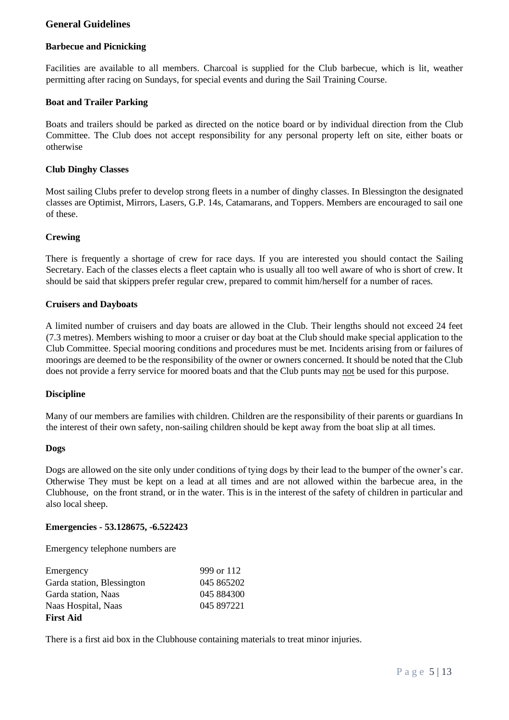## <span id="page-4-0"></span>**General Guidelines**

#### <span id="page-4-1"></span>**Barbecue and Picnicking**

Facilities are available to all members. Charcoal is supplied for the Club barbecue, which is lit, weather permitting after racing on Sundays, for special events and during the Sail Training Course.

#### <span id="page-4-2"></span>**Boat and Trailer Parking**

Boats and trailers should be parked as directed on the notice board or by individual direction from the Club Committee. The Club does not accept responsibility for any personal property left on site, either boats or otherwise

#### <span id="page-4-3"></span>**Club Dinghy Classes**

Most sailing Clubs prefer to develop strong fleets in a number of dinghy classes. In Blessington the designated classes are Optimist, Mirrors, Lasers, G.P. 14s, Catamarans, and Toppers. Members are encouraged to sail one of these.

#### <span id="page-4-4"></span>**Crewing**

There is frequently a shortage of crew for race days. If you are interested you should contact the Sailing Secretary. Each of the classes elects a fleet captain who is usually all too well aware of who is short of crew. It should be said that skippers prefer regular crew, prepared to commit him/herself for a number of races.

#### <span id="page-4-5"></span>**Cruisers and Dayboats**

A limited number of cruisers and day boats are allowed in the Club. Their lengths should not exceed 24 feet (7.3 metres). Members wishing to moor a cruiser or day boat at the Club should make special application to the Club Committee. Special mooring conditions and procedures must be met. Incidents arising from or failures of moorings are deemed to be the responsibility of the owner or owners concerned. It should be noted that the Club does not provide a ferry service for moored boats and that the Club punts may not be used for this purpose.

#### <span id="page-4-6"></span>**Discipline**

Many of our members are families with children. Children are the responsibility of their parents or guardians In the interest of their own safety, non-sailing children should be kept away from the boat slip at all times.

#### <span id="page-4-7"></span>**Dogs**

Dogs are allowed on the site only under conditions of tying dogs by their lead to the bumper of the owner's car. Otherwise They must be kept on a lead at all times and are not allowed within the barbecue area, in the Clubhouse, on the front strand, or in the water. This is in the interest of the safety of children in particular and also local sheep.

#### <span id="page-4-8"></span>**Emergencies - 53.128675, -6.522423**

Emergency telephone numbers are

| Emergency                  | 999 or 112 |
|----------------------------|------------|
| Garda station, Blessington | 045 865202 |
| Garda station, Naas        | 045 884300 |
| Naas Hospital, Naas        | 045 897221 |
| <b>First Aid</b>           |            |

<span id="page-4-9"></span>There is a first aid box in the Clubhouse containing materials to treat minor injuries.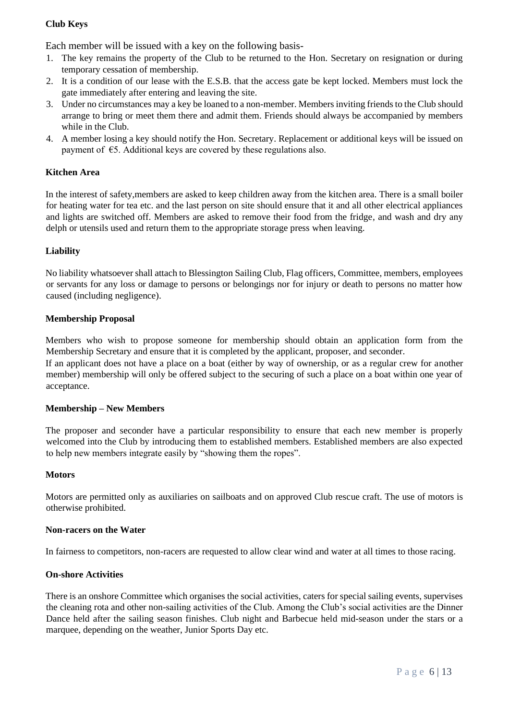## <span id="page-5-0"></span>**Club Keys**

Each member will be issued with a key on the following basis-

- 1. The key remains the property of the Club to be returned to the Hon. Secretary on resignation or during temporary cessation of membership.
- 2. It is a condition of our lease with the E.S.B. that the access gate be kept locked. Members must lock the gate immediately after entering and leaving the site.
- 3. Under no circumstances may a key be loaned to a non-member. Members inviting friends to the Club should arrange to bring or meet them there and admit them. Friends should always be accompanied by members while in the Club.
- 4. A member losing a key should notify the Hon. Secretary. Replacement or additional keys will be issued on payment of €5. Additional keys are covered by these regulations also.

#### <span id="page-5-1"></span>**Kitchen Area**

In the interest of safety,members are asked to keep children away from the kitchen area. There is a small boiler for heating water for tea etc. and the last person on site should ensure that it and all other electrical appliances and lights are switched off. Members are asked to remove their food from the fridge, and wash and dry any delph or utensils used and return them to the appropriate storage press when leaving.

#### <span id="page-5-2"></span>**Liability**

No liability whatsoever shall attach to Blessington Sailing Club, Flag officers, Committee, members, employees or servants for any loss or damage to persons or belongings nor for injury or death to persons no matter how caused (including negligence).

#### <span id="page-5-3"></span>**Membership Proposal**

Members who wish to propose someone for membership should obtain an application form from the Membership Secretary and ensure that it is completed by the applicant, proposer, and seconder.

If an applicant does not have a place on a boat (either by way of ownership, or as a regular crew for another member) membership will only be offered subject to the securing of such a place on a boat within one year of acceptance.

#### <span id="page-5-4"></span>**Membership – New Members**

The proposer and seconder have a particular responsibility to ensure that each new member is properly welcomed into the Club by introducing them to established members. Established members are also expected to help new members integrate easily by "showing them the ropes".

#### <span id="page-5-5"></span>**Motors**

Motors are permitted only as auxiliaries on sailboats and on approved Club rescue craft. The use of motors is otherwise prohibited.

#### <span id="page-5-6"></span>**Non-racers on the Water**

In fairness to competitors, non-racers are requested to allow clear wind and water at all times to those racing.

#### <span id="page-5-7"></span>**On-shore Activities**

There is an onshore Committee which organises the social activities, caters for special sailing events, supervises the cleaning rota and other non-sailing activities of the Club. Among the Club's social activities are the Dinner Dance held after the sailing season finishes. Club night and Barbecue held mid-season under the stars or a marquee, depending on the weather, Junior Sports Day etc.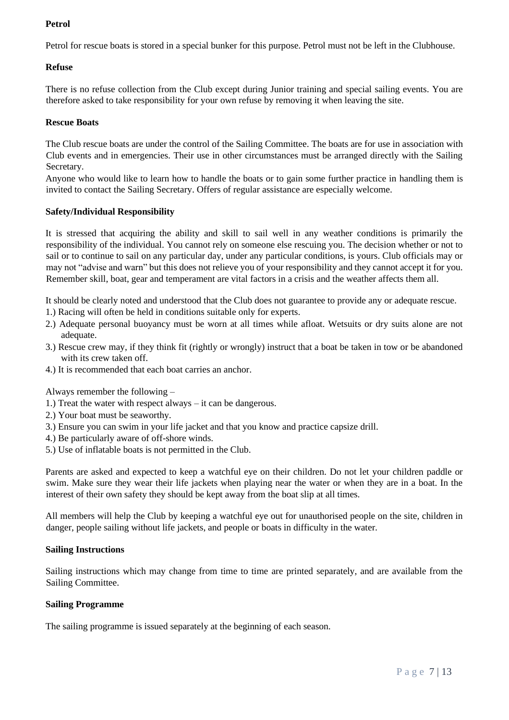## <span id="page-6-0"></span>**Petrol**

Petrol for rescue boats is stored in a special bunker for this purpose. Petrol must not be left in the Clubhouse.

#### <span id="page-6-1"></span>**Refuse**

There is no refuse collection from the Club except during Junior training and special sailing events. You are therefore asked to take responsibility for your own refuse by removing it when leaving the site.

#### <span id="page-6-2"></span>**Rescue Boats**

The Club rescue boats are under the control of the Sailing Committee. The boats are for use in association with Club events and in emergencies. Their use in other circumstances must be arranged directly with the Sailing Secretary.

Anyone who would like to learn how to handle the boats or to gain some further practice in handling them is invited to contact the Sailing Secretary. Offers of regular assistance are especially welcome.

#### <span id="page-6-3"></span>**Safety/Individual Responsibility**

It is stressed that acquiring the ability and skill to sail well in any weather conditions is primarily the responsibility of the individual. You cannot rely on someone else rescuing you. The decision whether or not to sail or to continue to sail on any particular day, under any particular conditions, is yours. Club officials may or may not "advise and warn" but this does not relieve you of your responsibility and they cannot accept it for you. Remember skill, boat, gear and temperament are vital factors in a crisis and the weather affects them all.

It should be clearly noted and understood that the Club does not guarantee to provide any or adequate rescue.

- 1.) Racing will often be held in conditions suitable only for experts.
- 2.) Adequate personal buoyancy must be worn at all times while afloat. Wetsuits or dry suits alone are not adequate.
- 3.) Rescue crew may, if they think fit (rightly or wrongly) instruct that a boat be taken in tow or be abandoned with its crew taken off.
- 4.) It is recommended that each boat carries an anchor.

Always remember the following –

- 1.) Treat the water with respect always it can be dangerous.
- 2.) Your boat must be seaworthy.
- 3.) Ensure you can swim in your life jacket and that you know and practice capsize drill.
- 4.) Be particularly aware of off-shore winds.
- 5.) Use of inflatable boats is not permitted in the Club.

Parents are asked and expected to keep a watchful eye on their children. Do not let your children paddle or swim. Make sure they wear their life jackets when playing near the water or when they are in a boat. In the interest of their own safety they should be kept away from the boat slip at all times.

All members will help the Club by keeping a watchful eye out for unauthorised people on the site, children in danger, people sailing without life jackets, and people or boats in difficulty in the water.

#### <span id="page-6-4"></span>**Sailing Instructions**

Sailing instructions which may change from time to time are printed separately, and are available from the Sailing Committee.

#### <span id="page-6-5"></span>**Sailing Programme**

The sailing programme is issued separately at the beginning of each season.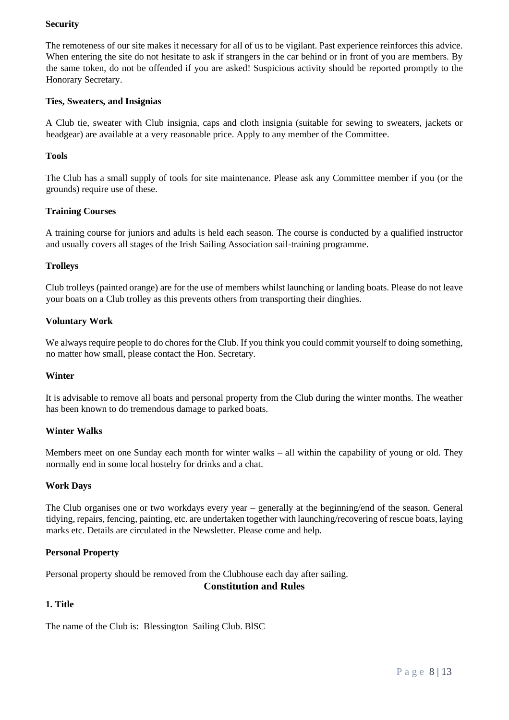### <span id="page-7-0"></span>**Security**

The remoteness of our site makes it necessary for all of us to be vigilant. Past experience reinforces this advice. When entering the site do not hesitate to ask if strangers in the car behind or in front of you are members. By the same token, do not be offended if you are asked! Suspicious activity should be reported promptly to the Honorary Secretary.

#### <span id="page-7-1"></span>**Ties, Sweaters, and Insignias**

A Club tie, sweater with Club insignia, caps and cloth insignia (suitable for sewing to sweaters, jackets or headgear) are available at a very reasonable price. Apply to any member of the Committee.

#### <span id="page-7-2"></span>**Tools**

The Club has a small supply of tools for site maintenance. Please ask any Committee member if you (or the grounds) require use of these.

#### <span id="page-7-3"></span>**Training Courses**

A training course for juniors and adults is held each season. The course is conducted by a qualified instructor and usually covers all stages of the Irish Sailing Association sail-training programme.

#### <span id="page-7-4"></span>**Trolleys**

Club trolleys (painted orange) are for the use of members whilst launching or landing boats. Please do not leave your boats on a Club trolley as this prevents others from transporting their dinghies.

#### <span id="page-7-5"></span>**Voluntary Work**

We always require people to do chores for the Club. If you think you could commit yourself to doing something, no matter how small, please contact the Hon. Secretary.

#### <span id="page-7-6"></span>**Winter**

It is advisable to remove all boats and personal property from the Club during the winter months. The weather has been known to do tremendous damage to parked boats.

#### <span id="page-7-7"></span>**Winter Walks**

Members meet on one Sunday each month for winter walks – all within the capability of young or old. They normally end in some local hostelry for drinks and a chat.

#### <span id="page-7-8"></span>**Work Days**

The Club organises one or two workdays every year – generally at the beginning/end of the season. General tidying, repairs, fencing, painting, etc. are undertaken together with launching/recovering of rescue boats, laying marks etc. Details are circulated in the Newsletter. Please come and help.

#### <span id="page-7-9"></span>**Personal Property**

<span id="page-7-10"></span>Personal property should be removed from the Clubhouse each day after sailing.

#### **Constitution and Rules**

#### <span id="page-7-11"></span>**1. Title**

The name of the Club is: Blessington Sailing Club. BlSC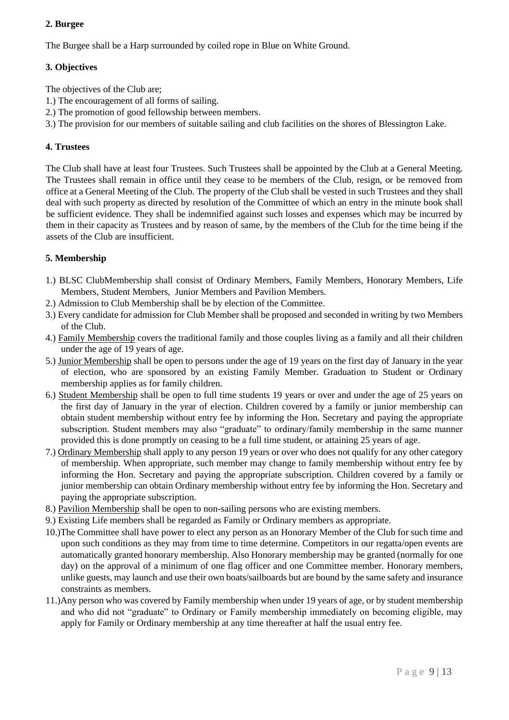## <span id="page-8-0"></span>**2. Burgee**

The Burgee shall be a Harp surrounded by coiled rope in Blue on White Ground.

## <span id="page-8-1"></span>**3. Objectives**

The objectives of the Club are;

- 1.) The encouragement of all forms of sailing.
- 2.) The promotion of good fellowship between members.
- 3.) The provision for our members of suitable sailing and club facilities on the shores of Blessington Lake.

## <span id="page-8-2"></span>**4. Trustees**

The Club shall have at least four Trustees. Such Trustees shall be appointed by the Club at a General Meeting. The Trustees shall remain in office until they cease to be members of the Club, resign, or be removed from office at a General Meeting of the Club. The property of the Club shall be vested in such Trustees and they shall deal with such property as directed by resolution of the Committee of which an entry in the minute book shall be sufficient evidence. They shall be indemnified against such losses and expenses which may be incurred by them in their capacity as Trustees and by reason of same, by the members of the Club for the time being if the assets of the Club are insufficient.

## <span id="page-8-3"></span>**5. Membership**

- 1.) BLSC ClubMembership shall consist of Ordinary Members, Family Members, Honorary Members, Life Members, Student Members, Junior Members and Pavilion Members.
- 2.) Admission to Club Membership shall be by election of the Committee.
- 3.) Every candidate for admission for Club Member shall be proposed and seconded in writing by two Members of the Club.
- 4.) Family Membership covers the traditional family and those couples living as a family and all their children under the age of 19 years of age.
- 5.) Junior Membership shall be open to persons under the age of 19 years on the first day of January in the year of election, who are sponsored by an existing Family Member. Graduation to Student or Ordinary membership applies as for family children.
- 6.) Student Membership shall be open to full time students 19 years or over and under the age of 25 years on the first day of January in the year of election. Children covered by a family or junior membership can obtain student membership without entry fee by informing the Hon. Secretary and paying the appropriate subscription. Student members may also "graduate" to ordinary/family membership in the same manner provided this is done promptly on ceasing to be a full time student, or attaining 25 years of age.
- 7.) Ordinary Membership shall apply to any person 19 years or over who does not qualify for any other category of membership. When appropriate, such member may change to family membership without entry fee by informing the Hon. Secretary and paying the appropriate subscription. Children covered by a family or junior membership can obtain Ordinary membership without entry fee by informing the Hon. Secretary and paying the appropriate subscription.
- 8.) Pavilion Membership shall be open to non-sailing persons who are existing members.
- 9.) Existing Life members shall be regarded as Family or Ordinary members as appropriate.
- 10.)The Committee shall have power to elect any person as an Honorary Member of the Club for such time and upon such conditions as they may from time to time determine. Competitors in our regatta/open events are automatically granted honorary membership. Also Honorary membership may be granted (normally for one day) on the approval of a minimum of one flag officer and one Committee member. Honorary members, unlike guests, may launch and use their own boats/sailboards but are bound by the same safety and insurance constraints as members.
- 11.)Any person who was covered by Family membership when under 19 years of age, or by student membership and who did not "graduate" to Ordinary or Family membership immediately on becoming eligible, may apply for Family or Ordinary membership at any time thereafter at half the usual entry fee.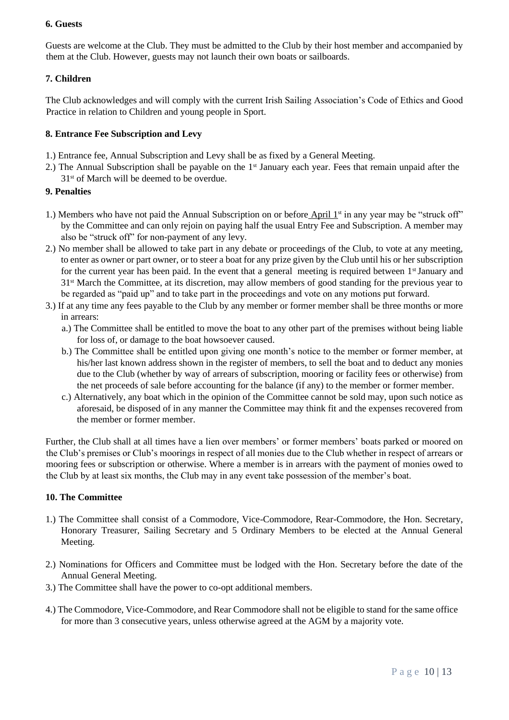#### <span id="page-9-0"></span>**6. Guests**

Guests are welcome at the Club. They must be admitted to the Club by their host member and accompanied by them at the Club. However, guests may not launch their own boats or sailboards.

### <span id="page-9-1"></span>**7. Children**

The Club acknowledges and will comply with the current Irish Sailing Association's Code of Ethics and Good Practice in relation to Children and young people in Sport.

#### <span id="page-9-2"></span>**8. Entrance Fee Subscription and Levy**

- 1.) Entrance fee, Annual Subscription and Levy shall be as fixed by a General Meeting.
- 2.) The Annual Subscription shall be payable on the 1<sup>st</sup> January each year. Fees that remain unpaid after the 31<sup>st</sup> of March will be deemed to be overdue.

#### <span id="page-9-3"></span>**9. Penalties**

- 1.) Members who have not paid the Annual Subscription on or before  $\Delta pril 1<sup>st</sup>$  in any year may be "struck off" by the Committee and can only rejoin on paying half the usual Entry Fee and Subscription. A member may also be "struck off" for non-payment of any levy.
- 2.) No member shall be allowed to take part in any debate or proceedings of the Club, to vote at any meeting, to enter as owner or part owner, or to steer a boat for any prize given by the Club until his or her subscription for the current year has been paid. In the event that a general meeting is required between  $1<sup>st</sup>$  January and 31st March the Committee, at its discretion, may allow members of good standing for the previous year to be regarded as "paid up" and to take part in the proceedings and vote on any motions put forward.
- 3.) If at any time any fees payable to the Club by any member or former member shall be three months or more in arrears:
	- a.) The Committee shall be entitled to move the boat to any other part of the premises without being liable for loss of, or damage to the boat howsoever caused.
	- b.) The Committee shall be entitled upon giving one month's notice to the member or former member, at his/her last known address shown in the register of members, to sell the boat and to deduct any monies due to the Club (whether by way of arrears of subscription, mooring or facility fees or otherwise) from the net proceeds of sale before accounting for the balance (if any) to the member or former member.
	- c.) Alternatively, any boat which in the opinion of the Committee cannot be sold may, upon such notice as aforesaid, be disposed of in any manner the Committee may think fit and the expenses recovered from the member or former member.

Further, the Club shall at all times have a lien over members' or former members' boats parked or moored on the Club's premises or Club's moorings in respect of all monies due to the Club whether in respect of arrears or mooring fees or subscription or otherwise. Where a member is in arrears with the payment of monies owed to the Club by at least six months, the Club may in any event take possession of the member's boat.

#### <span id="page-9-4"></span>**10. The Committee**

- 1.) The Committee shall consist of a Commodore, Vice-Commodore, Rear-Commodore, the Hon. Secretary, Honorary Treasurer, Sailing Secretary and 5 Ordinary Members to be elected at the Annual General Meeting.
- 2.) Nominations for Officers and Committee must be lodged with the Hon. Secretary before the date of the Annual General Meeting.
- 3.) The Committee shall have the power to co-opt additional members.
- 4.) The Commodore, Vice-Commodore, and Rear Commodore shall not be eligible to stand for the same office for more than 3 consecutive years, unless otherwise agreed at the AGM by a majority vote.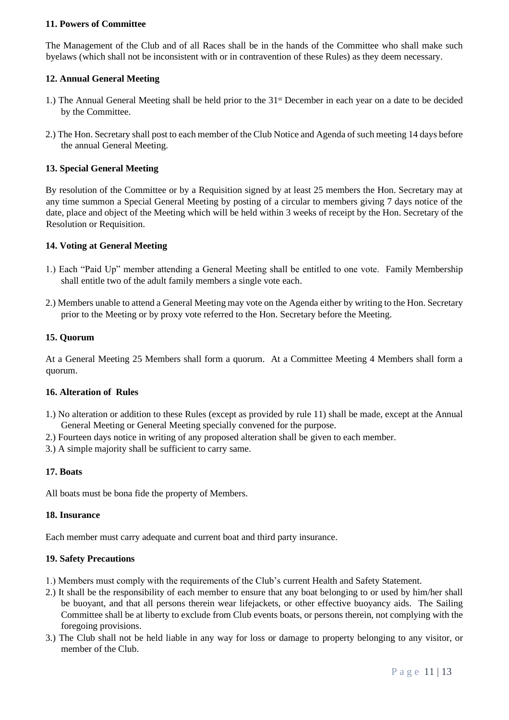#### <span id="page-10-0"></span>**11. Powers of Committee**

The Management of the Club and of all Races shall be in the hands of the Committee who shall make such byelaws (which shall not be inconsistent with or in contravention of these Rules) as they deem necessary.

#### <span id="page-10-1"></span>**12. Annual General Meeting**

- 1.) The Annual General Meeting shall be held prior to the 31st December in each year on a date to be decided by the Committee.
- 2.) The Hon. Secretary shall post to each member of the Club Notice and Agenda of such meeting 14 days before the annual General Meeting.

#### <span id="page-10-2"></span>**13. Special General Meeting**

By resolution of the Committee or by a Requisition signed by at least 25 members the Hon. Secretary may at any time summon a Special General Meeting by posting of a circular to members giving 7 days notice of the date, place and object of the Meeting which will be held within 3 weeks of receipt by the Hon. Secretary of the Resolution or Requisition.

#### <span id="page-10-3"></span>**14. Voting at General Meeting**

- 1.) Each "Paid Up" member attending a General Meeting shall be entitled to one vote. Family Membership shall entitle two of the adult family members a single vote each.
- 2.) Members unable to attend a General Meeting may vote on the Agenda either by writing to the Hon. Secretary prior to the Meeting or by proxy vote referred to the Hon. Secretary before the Meeting.

#### <span id="page-10-4"></span>**15. Quorum**

At a General Meeting 25 Members shall form a quorum. At a Committee Meeting 4 Members shall form a quorum.

#### <span id="page-10-5"></span>**16. Alteration of Rules**

- 1.) No alteration or addition to these Rules (except as provided by rule 11) shall be made, except at the Annual General Meeting or General Meeting specially convened for the purpose.
- 2.) Fourteen days notice in writing of any proposed alteration shall be given to each member.
- 3.) A simple majority shall be sufficient to carry same.

#### <span id="page-10-6"></span>**17. Boats**

All boats must be bona fide the property of Members.

#### <span id="page-10-7"></span>**18. Insurance**

Each member must carry adequate and current boat and third party insurance.

#### <span id="page-10-8"></span>**19. Safety Precautions**

- 1.) Members must comply with the requirements of the Club's current Health and Safety Statement.
- 2.) It shall be the responsibility of each member to ensure that any boat belonging to or used by him/her shall be buoyant, and that all persons therein wear lifejackets, or other effective buoyancy aids. The Sailing Committee shall be at liberty to exclude from Club events boats, or persons therein, not complying with the foregoing provisions.
- 3.) The Club shall not be held liable in any way for loss or damage to property belonging to any visitor, or member of the Club.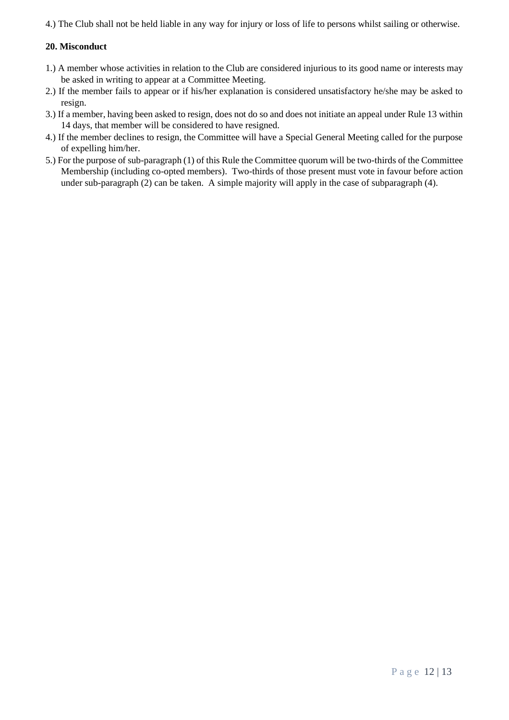4.) The Club shall not be held liable in any way for injury or loss of life to persons whilst sailing or otherwise.

### <span id="page-11-0"></span>**20. Misconduct**

- 1.) A member whose activities in relation to the Club are considered injurious to its good name or interests may be asked in writing to appear at a Committee Meeting.
- 2.) If the member fails to appear or if his/her explanation is considered unsatisfactory he/she may be asked to resign.
- 3.) If a member, having been asked to resign, does not do so and does not initiate an appeal under Rule 13 within 14 days, that member will be considered to have resigned.
- 4.) If the member declines to resign, the Committee will have a Special General Meeting called for the purpose of expelling him/her.
- 5.) For the purpose of sub-paragraph (1) of this Rule the Committee quorum will be two-thirds of the Committee Membership (including co-opted members). Two-thirds of those present must vote in favour before action under sub-paragraph (2) can be taken. A simple majority will apply in the case of subparagraph (4).